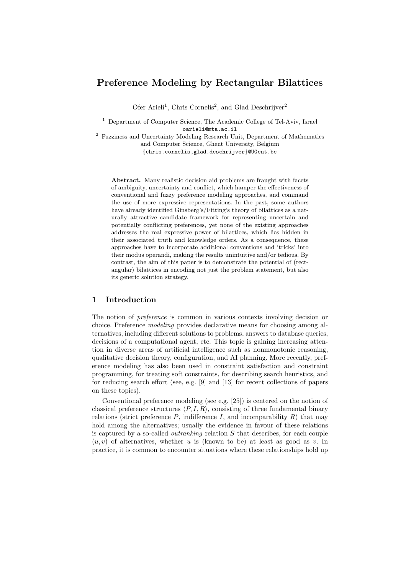# Preference Modeling by Rectangular Bilattices

Ofer Arieli<sup>1</sup>, Chris Cornelis<sup>2</sup>, and Glad Deschrijver<sup>2</sup>

<sup>1</sup> Department of Computer Science, The Academic College of Tel-Aviv, Israel oarieli@mta.ac.il

<sup>2</sup> Fuzziness and Uncertainty Modeling Research Unit, Department of Mathematics and Computer Science, Ghent University, Belgium {chris.cornelis,glad.deschrijver}@UGent.be

Abstract. Many realistic decision aid problems are fraught with facets of ambiguity, uncertainty and conflict, which hamper the effectiveness of conventional and fuzzy preference modeling approaches, and command the use of more expressive representations. In the past, some authors have already identified Ginsberg's/Fitting's theory of bilattices as a naturally attractive candidate framework for representing uncertain and potentially conflicting preferences, yet none of the existing approaches addresses the real expressive power of bilattices, which lies hidden in their associated truth and knowledge orders. As a consequence, these approaches have to incorporate additional conventions and 'tricks' into their modus operandi, making the results unintuitive and/or tedious. By contrast, the aim of this paper is to demonstrate the potential of (rectangular) bilattices in encoding not just the problem statement, but also its generic solution strategy.

### 1 Introduction

The notion of preference is common in various contexts involving decision or choice. Preference modeling provides declarative means for choosing among alternatives, including different solutions to problems, answers to database queries, decisions of a computational agent, etc. This topic is gaining increasing attention in diverse areas of artificial intelligence such as nonmonotonic reasoning, qualitative decision theory, configuration, and AI planning. More recently, preference modeling has also been used in constraint satisfaction and constraint programming, for treating soft constraints, for describing search heuristics, and for reducing search effort (see, e.g. [9] and [13] for recent collections of papers on these topics).

Conventional preference modeling (see e.g. [25]) is centered on the notion of classical preference structures  $\langle P, I, R \rangle$ , consisting of three fundamental binary relations (strict preference  $P$ , indifference  $I$ , and incomparability  $R$ ) that may hold among the alternatives; usually the evidence in favour of these relations is captured by a so-called *outranking* relation  $S$  that describes, for each couple  $(u, v)$  of alternatives, whether u is (known to be) at least as good as v. In practice, it is common to encounter situations where these relationships hold up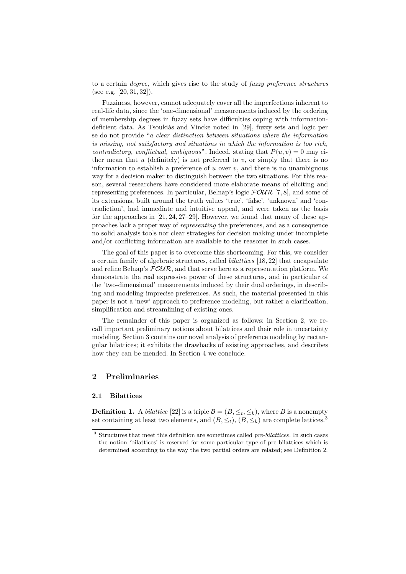to a certain degree, which gives rise to the study of fuzzy preference structures (see e.g.  $[20, 31, 32]$ ).

Fuzziness, however, cannot adequately cover all the imperfections inherent to real-life data, since the 'one-dimensional' measurements induced by the ordering of membership degrees in fuzzy sets have difficulties coping with informationdeficient data. As Tsoukiàs and Vincke noted in [29], fuzzy sets and logic per se do not provide "a clear distinction between situations where the information is missing, not satisfactory and situations in which the information is too rich, contradictory, conflictual, ambiguous". Indeed, stating that  $P(u, v) = 0$  may either mean that  $u$  (definitely) is not preferred to  $v$ , or simply that there is no information to establish a preference of  $u$  over  $v$ , and there is no unambiguous way for a decision maker to distinguish between the two situations. For this reason, several researchers have considered more elaborate means of eliciting and representing preferences. In particular, Belnap's logic  $FOUR$  [7,8], and some of its extensions, built around the truth values 'true', 'false', 'unknown' and 'contradiction', had immediate and intuitive appeal, and were taken as the basis for the approaches in [21,24,27–29]. However, we found that many of these approaches lack a proper way of representing the preferences, and as a consequence no solid analysis tools nor clear strategies for decision making under incomplete and/or conflicting information are available to the reasoner in such cases.

The goal of this paper is to overcome this shortcoming. For this, we consider a certain family of algebraic structures, called bilattices [18,22] that encapsulate and refine Belnap's  $F\mathcal{O}\mathcal{U}\mathcal{R}$ , and that serve here as a representation platform. We demonstrate the real expressive power of these structures, and in particular of the 'two-dimensional' measurements induced by their dual orderings, in describing and modeling imprecise preferences. As such, the material presented in this paper is not a 'new' approach to preference modeling, but rather a clarification, simplification and streamlining of existing ones.

The remainder of this paper is organized as follows: in Section 2, we recall important preliminary notions about bilattices and their role in uncertainty modeling. Section 3 contains our novel analysis of preference modeling by rectangular bilattices; it exhibits the drawbacks of existing approaches, and describes how they can be mended. In Section 4 we conclude.

# 2 Preliminaries

#### 2.1 Bilattices

**Definition 1.** A *bilattice* [22] is a triple  $\mathcal{B} = (B, \leq_t, \leq_k)$ , where B is a nonempty set containing at least two elements, and  $(B, \leq_t), (B, \leq_k)$  are complete lattices.<sup>3</sup>

 $3$  Structures that meet this definition are sometimes called  $pre-bilattices$ . In such cases the notion 'bilattices' is reserved for some particular type of pre-bilattices which is determined according to the way the two partial orders are related; see Definition 2.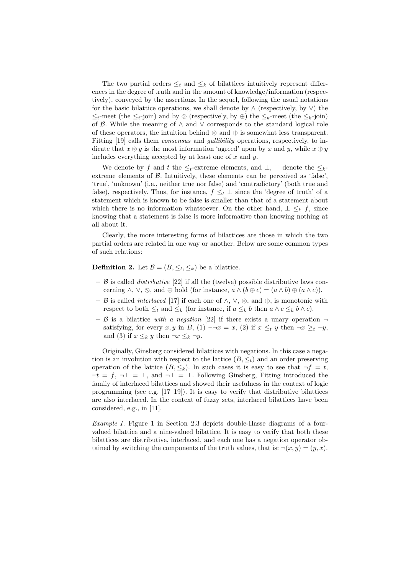The two partial orders  $\leq_t$  and  $\leq_k$  of bilattices intuitively represent differences in the degree of truth and in the amount of knowledge/information (respectively), conveyed by the assertions. In the sequel, following the usual notations for the basic bilattice operations, we shall denote by  $\land$  (respectively, by  $\lor$ ) the  $\leq_t$ -meet (the  $\leq_t$ -join) and by ⊗ (respectively, by ⊕) the  $\leq_k$ -meet (the  $\leq_k$ -join) of  $\beta$ . While the meaning of  $\land$  and  $\lor$  corresponds to the standard logical role of these operators, the intuition behind ⊗ and ⊕ is somewhat less transparent. Fitting [19] calls them *consensus* and *gullibility* operations, respectively, to indicate that  $x \otimes y$  is the most information 'agreed' upon by x and y, while  $x \oplus y$ includes everything accepted by at least one of  $x$  and  $y$ .

We denote by f and t the  $\leq_t$ -extreme elements, and  $\perp$ ,  $\top$  denote the  $\leq_k$ extreme elements of  $\beta$ . Intuitively, these elements can be perceived as 'false', 'true', 'unknown' (i.e., neither true nor false) and 'contradictory' (both true and false), respectively. Thus, for instance,  $f \leq_t \perp$  since the 'degree of truth' of a statement which is known to be false is smaller than that of a statement about which there is no information whatsoever. On the other hand,  $\perp \leq_k f$ , since knowing that a statement is false is more informative than knowing nothing at all about it.

Clearly, the more interesting forms of bilattices are those in which the two partial orders are related in one way or another. Below are some common types of such relations:

**Definition 2.** Let  $\mathcal{B} = (B, \leq_t, \leq_k)$  be a bilattice.

- $-$  B is called *distributive* [22] if all the (twelve) possible distributive laws concerning  $\wedge$ ,  $\vee$ ,  $\otimes$ , and  $\oplus$  hold (for instance,  $a \wedge (b \oplus c) = (a \wedge b) \oplus (a \wedge c)$ ).
- B is called *interlaced* [17] if each one of  $\land$ ,  $\lor$ , ⊗, and ⊕, is monotonic with respect to both  $\leq_t$  and  $\leq_k$  (for instance, if  $a \leq_k b$  then  $a \wedge c \leq_k b \wedge c$ ).
- B is a bilattice with a negation [22] if there exists a unary operation  $\neg$ satisfying, for every x, y in B, (1)  $\neg\neg x = x$ , (2) if  $x \leq_t y$  then  $\neg x \geq_t \neg y$ , and (3) if  $x \leq_k y$  then  $\neg x \leq_k \neg y$ .

Originally, Ginsberg considered bilattices with negations. In this case a negation is an involution with respect to the lattice  $(B, \leq_t)$  and an order preserving operation of the lattice  $(B, \leq_k)$ . In such cases it is easy to see that  $\neg f = t$ ,  $\neg t = f, \neg \bot = \bot$ , and  $\neg \top = \top$ . Following Ginsberg, Fitting introduced the family of interlaced bilattices and showed their usefulness in the context of logic programming (see e.g.  $[17-19]$ ). It is easy to verify that distributive bilattices are also interlaced. In the context of fuzzy sets, interlaced bilattices have been considered, e.g., in [11].

Example 1. Figure 1 in Section 2.3 depicts double-Hasse diagrams of a fourvalued bilattice and a nine-valued bilattice. It is easy to verify that both these bilattices are distributive, interlaced, and each one has a negation operator obtained by switching the components of the truth values, that is:  $\neg(x, y) = (y, x)$ .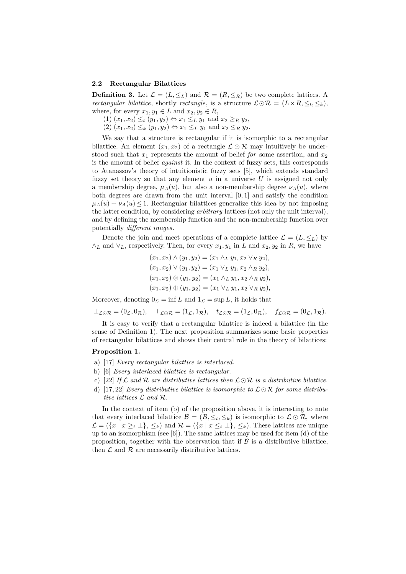#### 2.2 Rectangular Bilattices

**Definition 3.** Let  $\mathcal{L} = (L, \leq_L)$  and  $\mathcal{R} = (R, \leq_R)$  be two complete lattices. A rectangular bilattice, shortly rectangle, is a structure  $\mathcal{L} \odot \mathcal{R} = (L \times R, \leq_t, \leq_k),$ where, for every  $x_1, y_1 \in L$  and  $x_2, y_2 \in R$ ,

(1)  $(x_1, x_2) \leq_t (y_1, y_2) \Leftrightarrow x_1 \leq_L y_1$  and  $x_2 \geq_R y_2$ ,

 $(2)$   $(x_1, x_2) \leq_k (y_1, y_2) \Leftrightarrow x_1 \leq_L y_1$  and  $x_2 \leq_R y_2$ .

We say that a structure is rectangular if it is isomorphic to a rectangular bilattice. An element  $(x_1, x_2)$  of a rectangle  $\mathcal{L} \odot \mathcal{R}$  may intuitively be understood such that  $x_1$  represents the amount of belief for some assertion, and  $x_2$ is the amount of belief against it. In the context of fuzzy sets, this corresponds to Atanassov's theory of intuitionistic fuzzy sets [5], which extends standard fuzzy set theory so that any element  $u$  in a universe  $U$  is assigned not only a membership degree,  $\mu_A(u)$ , but also a non-membership degree  $\nu_A(u)$ , where both degrees are drawn from the unit interval [0, 1] and satisfy the condition  $\mu_A(u) + \nu_A(u) \leq 1$ . Rectangular bilattices generalize this idea by not imposing the latter condition, by considering arbitrary lattices (not only the unit interval), and by defining the membership function and the non-membership function over potentially different ranges.

Denote the join and meet operations of a complete lattice  $\mathcal{L} = (L, \leq_L)$  by  $\wedge_L$  and  $\vee_L$ , respectively. Then, for every  $x_1, y_1$  in L and  $x_2, y_2$  in R, we have

$$
(x_1, x_2) \land (y_1, y_2) = (x_1 \land_L y_1, x_2 \lor_R y_2),
$$
  
\n
$$
(x_1, x_2) \lor (y_1, y_2) = (x_1 \lor_L y_1, x_2 \land_R y_2),
$$
  
\n
$$
(x_1, x_2) \otimes (y_1, y_2) = (x_1 \land_L y_1, x_2 \land_R y_2),
$$
  
\n
$$
(x_1, x_2) \oplus (y_1, y_2) = (x_1 \lor_L y_1, x_2 \lor_R y_2),
$$

Moreover, denoting  $0_{\mathcal{L}} = \inf L$  and  $1_{\mathcal{L}} = \sup L$ , it holds that

$$
\perp_{\mathcal{L}\odot\mathcal{R}}=(0_{\mathcal{L}},0_{\mathcal{R}}),\quad \top_{\mathcal{L}\odot\mathcal{R}}=(1_{\mathcal{L}},1_{\mathcal{R}}),\quad t_{\mathcal{L}\odot\mathcal{R}}=(1_{\mathcal{L}},0_{\mathcal{R}}),\quad f_{\mathcal{L}\odot\mathcal{R}}=(0_{\mathcal{L}},1_{\mathcal{R}}).
$$

It is easy to verify that a rectangular bilattice is indeed a bilattice (in the sense of Definition 1). The next proposition summarizes some basic properties of rectangular bilattices and shows their central role in the theory of bilattices:

#### Proposition 1.

- a) [17] Every rectangular bilattice is interlaced.
- b) [6] Every interlaced bilattice is rectangular.
- c) [22] If  $\mathcal L$  and  $\mathcal R$  are distributive lattices then  $\mathcal L \odot \mathcal R$  is a distributive bilattice.
- d) [17,22] Every distributive bilattice is isomorphic to  $\mathcal{L} \odot \mathcal{R}$  for some distributive lattices L and R.

In the context of item (b) of the proposition above, it is interesting to note that every interlaced bilattice  $\mathcal{B} = (B, \leq_t, \leq_k)$  is isomorphic to  $\mathcal{L} \odot \mathcal{R}$ , where  $\mathcal{L} = (\{x \mid x \geq t \perp\}, \leq_k)$  and  $\mathcal{R} = (\{x \mid x \leq t \perp\}, \leq_k)$ . These lattices are unique up to an isomorphism (see [6]). The same lattices may be used for item (d) of the proposition, together with the observation that if  $\beta$  is a distributive bilattice, then  $\mathcal L$  and  $\mathcal R$  are necessarily distributive lattices.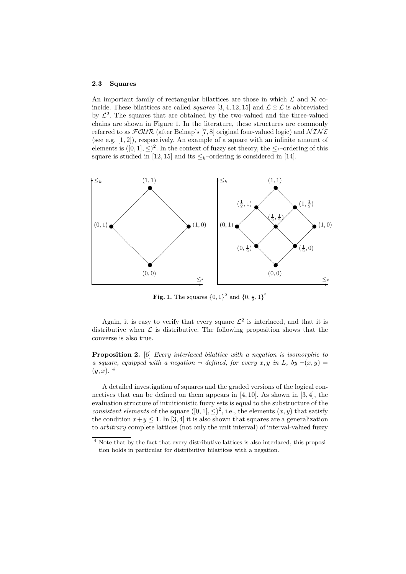#### 2.3 Squares

An important family of rectangular bilattices are those in which  $\mathcal L$  and  $\mathcal R$  coincide. These bilattices are called *squares* [3, 4, 12, 15] and  $\mathcal{L} \odot \mathcal{L}$  is abbreviated by  $\mathcal{L}^2$ . The squares that are obtained by the two-valued and the three-valued chains are shown in Figure 1. In the literature, these structures are commonly referred to as  $\mathcal{FOUR}$  (after Belnap's [7,8] original four-valued logic) and  $\mathcal{NINE}$ (see e.g.  $[1, 2]$ ), respectively. An example of a square with an infinite amount of elements is  $([0, 1], \leq)^2$ . In the context of fuzzy set theory, the  $\leq_t$ -ordering of this square is studied in [12,15] and its  $\leq_k$ -ordering is considered in [14].



**Fig. 1.** The squares  $\{0, 1\}^2$  and  $\{0, \frac{1}{2}, 1\}^2$ 

Again, it is easy to verify that every square  $\mathcal{L}^2$  is interlaced, and that it is distributive when  $\mathcal L$  is distributive. The following proposition shows that the converse is also true.

Proposition 2. [6] Every interlaced bilattice with a negation is isomorphic to a square, equipped with a negation  $\neg$  defined, for every x, y in L, by  $\neg(x, y) =$  $(y, x)$ .<sup>4</sup>

A detailed investigation of squares and the graded versions of the logical connectives that can be defined on them appears in  $[4,10]$ . As shown in  $[3,4]$ , the evaluation structure of intuitionistic fuzzy sets is equal to the substructure of the consistent elements of the square  $([0,1], \leq)^2$ , i.e., the elements  $(x, y)$  that satisfy the condition  $x+y \leq 1$ . In [3, 4] it is also shown that squares are a generalization to arbitrary complete lattices (not only the unit interval) of interval-valued fuzzy

<sup>4</sup> Note that by the fact that every distributive lattices is also interlaced, this proposition holds in particular for distributive bilattices with a negation.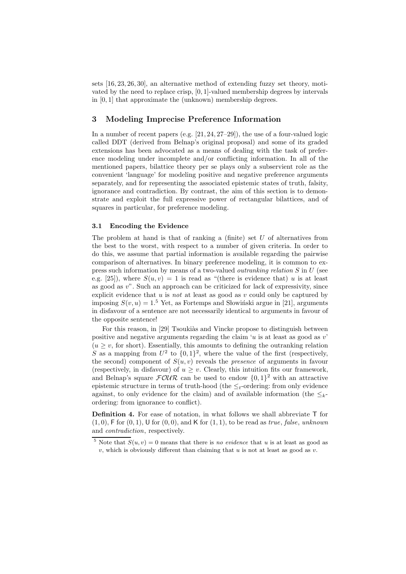sets [16,23,26,30], an alternative method of extending fuzzy set theory, motivated by the need to replace crisp,  $[0, 1]$ -valued membership degrees by intervals in [0, 1] that approximate the (unknown) membership degrees.

### 3 Modeling Imprecise Preference Information

In a number of recent papers (e.g. [21, 24, 27–29]), the use of a four-valued logic called DDT (derived from Belnap's original proposal) and some of its graded extensions has been advocated as a means of dealing with the task of preference modeling under incomplete and/or conflicting information. In all of the mentioned papers, bilattice theory per se plays only a subservient role as the convenient 'language' for modeling positive and negative preference arguments separately, and for representing the associated epistemic states of truth, falsity, ignorance and contradiction. By contrast, the aim of this section is to demonstrate and exploit the full expressive power of rectangular bilattices, and of squares in particular, for preference modeling.

### 3.1 Encoding the Evidence

The problem at hand is that of ranking a (finite) set  $U$  of alternatives from the best to the worst, with respect to a number of given criteria. In order to do this, we assume that partial information is available regarding the pairwise comparison of alternatives. In binary preference modeling, it is common to express such information by means of a two-valued outranking relation S in U (see e.g. [25]), where  $S(u, v) = 1$  is read as "(there is evidence that) u is at least as good as  $v$ <sup>"</sup>. Such an approach can be criticized for lack of expressivity, since explicit evidence that  $u$  is *not* at least as good as  $v$  could only be captured by imposing  $S(v, u) = 1.5$  Yet, as Fortemps and Slowinski argue in [21], arguments in disfavour of a sentence are not necessarily identical to arguments in favour of the opposite sentence!

For this reason, in [29] Tsoukiàs and Vincke propose to distinguish between positive and negative arguments regarding the claim  $u$  is at least as good as  $v'$  $(u \geq v,$  for short). Essentially, this amounts to defining the outranking relation S as a mapping from  $U^2$  to  $\{0,1\}^2$ , where the value of the first (respectively, the second) component of  $S(u, v)$  reveals the *presence* of arguments in favour (respectively, in disfavour) of  $u > v$ . Clearly, this intuition fits our framework, and Belnap's square  $FOUR$  can be used to endow  $\{0,1\}^2$  with an attractive epistemic structure in terms of truth-hood (the  $\leq_t$ -ordering: from only evidence against, to only evidence for the claim) and of available information (the  $\leq_{k}$ ordering: from ignorance to conflict).

Definition 4. For ease of notation, in what follows we shall abbreviate T for  $(1, 0)$ , F for  $(0, 1)$ , U for  $(0, 0)$ , and K for  $(1, 1)$ , to be read as true, false, unknown and contradiction, respectively.

<sup>&</sup>lt;sup>5</sup> Note that  $S(u, v) = 0$  means that there is no evidence that u is at least as good as  $v$ , which is obviously different than claiming that  $u$  is not at least as good as  $v$ .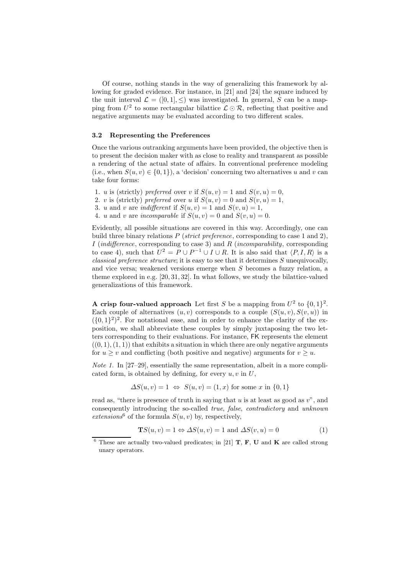Of course, nothing stands in the way of generalizing this framework by allowing for graded evidence. For instance, in [21] and [24] the square induced by the unit interval  $\mathcal{L} = ([0, 1], \leq)$  was investigated. In general, S can be a mapping from  $U^2$  to some rectangular bilattice  $\mathcal{L} \odot \mathcal{R}$ , reflecting that positive and negative arguments may be evaluated according to two different scales.

#### 3.2 Representing the Preferences

Once the various outranking arguments have been provided, the objective then is to present the decision maker with as close to reality and transparent as possible a rendering of the actual state of affairs. In conventional preference modeling (i.e., when  $S(u, v) \in \{0, 1\}$ ), a 'decision' concerning two alternatives u and v can take four forms:

- 1. u is (strictly) preferred over v if  $S(u, v) = 1$  and  $S(v, u) = 0$ ,
- 2. v is (strictly) preferred over u if  $S(u, v) = 0$  and  $S(v, u) = 1$ ,
- 3. u and v are *indifferent* if  $S(u, v) = 1$  and  $S(v, u) = 1$ ,
- 4. u and v are incomparable if  $S(u, v) = 0$  and  $S(v, u) = 0$ .

Evidently, all possible situations are covered in this way. Accordingly, one can build three binary relations  $P$  (strict preference, corresponding to case 1 and 2), I (indifference, corresponding to case 3) and  $R$  (incomparability, corresponding to case 4), such that  $U^2 = P \cup P^{-1} \cup I \cup R$ . It is also said that  $\langle P, I, R \rangle$  is a *classical preference structure*; it is easy to see that it determines  $S$  unequivocally, and vice versa; weakened versions emerge when S becomes a fuzzy relation, a theme explored in e.g. [20,31,32]. In what follows, we study the bilattice-valued generalizations of this framework.

A crisp four-valued approach Let first S be a mapping from  $U^2$  to  $\{0,1\}^2$ . Each couple of alternatives  $(u, v)$  corresponds to a couple  $(S(u, v), S(v, u))$  in  $({0,1})^2$ . For notational ease, and in order to enhance the clarity of the exposition, we shall abbreviate these couples by simply juxtaposing the two letters corresponding to their evaluations. For instance, FK represents the element  $((0, 1), (1, 1))$  that exhibits a situation in which there are only negative arguments for  $u \geq v$  and conflicting (both positive and negative) arguments for  $v \geq u$ .

*Note 1.* In [27–29], essentially the same representation, albeit in a more complicated form, is obtained by defining, for every  $u, v$  in  $U$ ,

$$
\Delta S(u, v) = 1 \Leftrightarrow S(u, v) = (1, x) \text{ for some } x \text{ in } \{0, 1\}
$$

read as, "there is presence of truth in saying that  $u$  is at least as good as  $v$ ", and consequently introducing the so-called true, false, contradictory and unknown extensions<sup>6</sup> of the formula  $S(u, v)$  by, respectively,

$$
\mathbf{T}S(u,v) = 1 \Leftrightarrow \Delta S(u,v) = 1 \text{ and } \Delta S(v,u) = 0 \tag{1}
$$

<sup>&</sup>lt;sup>6</sup> These are actually two-valued predicates; in [21] **T**, **F**, **U** and **K** are called strong unary operators.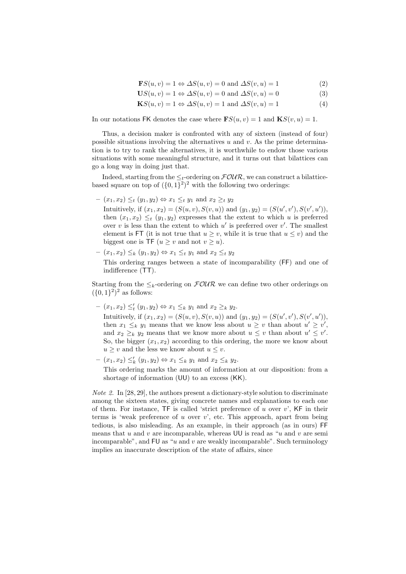$\mathbf{F}S(u, v) = 1 \Leftrightarrow \Delta S(u, v) = 0$  and  $\Delta S(v, u) = 1$  (2)

$$
US(u, v) = 1 \Leftrightarrow \Delta S(u, v) = 0 \text{ and } \Delta S(v, u) = 0 \tag{3}
$$

$$
\mathbf{K}S(u,v) = 1 \Leftrightarrow \Delta S(u,v) = 1 \text{ and } \Delta S(v,u) = 1 \tag{4}
$$

In our notations FK denotes the case where  $\mathbf{F}S(u, v) = 1$  and  $\mathbf{K}S(v, u) = 1$ .

Thus, a decision maker is confronted with any of sixteen (instead of four) possible situations involving the alternatives  $u$  and  $v$ . As the prime determination is to try to rank the alternatives, it is worthwhile to endow those various situations with some meaningful structure, and it turns out that bilattices can go a long way in doing just that.

Indeed, starting from the  $\leq_t$ -ordering on  $\mathcal{FOUR}$ , we can construct a bilatticebased square on top of  $(\lbrace 0,1\rbrace^2)^2$  with the following two orderings:

- $-(x_1, x_2) \leq_t (y_1, y_2) \Leftrightarrow x_1 \leq_t y_1 \text{ and } x_2 \geq_t y_2$ Intuitively, if  $(x_1, x_2) = (S(u, v), S(v, u))$  and  $(y_1, y_2) = (S(u', v'), S(v', u')),$ then  $(x_1, x_2) \leq_t (y_1, y_2)$  expresses that the extent to which u is preferred over  $v$  is less than the extent to which  $u'$  is preferred over  $v'$ . The smallest element is FT (it is not true that  $u \geq v$ , while it is true that  $u \leq v$ ) and the biggest one is TF  $(u > v$  and not  $v > u$ ).
- $-(x_1, x_2) \leq_k (y_1, y_2) \Leftrightarrow x_1 \leq_t y_1 \text{ and } x_2 \leq_t y_2$ This ordering ranges between a state of incomparability (FF) and one of indifference (TT).

Starting from the  $\leq_k$ -ordering on  $\mathcal{FOUR}$  we can define two other orderings on  $({0, 1})^2$ <sup>2</sup> as follows:

 $(x_1, x_2) \leq'_t (y_1, y_2) \Leftrightarrow x_1 \leq_k y_1 \text{ and } x_2 \geq_k y_2.$ 

Intuitively, if  $(x_1, x_2) = (S(u, v), S(v, u))$  and  $(y_1, y_2) = (S(u', v'), S(v', u')),$ then  $x_1 \leq_k y_1$  means that we know less about  $u \geq v$  than about  $u' \geq v'$ , and  $x_2 \geq_k y_2$  means that we know more about  $u \leq v$  than about  $u' \leq v'$ . So, the bigger  $(x_1, x_2)$  according to this ordering, the more we know about  $u \geq v$  and the less we know about  $u \leq v$ .

 $(x_1, x_2) \leq'_k (y_1, y_2) \Leftrightarrow x_1 \leq_k y_1 \text{ and } x_2 \leq_k y_2.$ 

This ordering marks the amount of information at our disposition: from a shortage of information (UU) to an excess (KK).

Note 2. In [28,29], the authors present a dictionary-style solution to discriminate among the sixteen states, giving concrete names and explanations to each one of them. For instance,  $TF$  is called 'strict preference of u over v',  $KF$  in their terms is 'weak preference of u over  $v'$ , etc. This approach, apart from being tedious, is also misleading. As an example, in their approach (as in ours) FF means that  $u$  and  $v$  are incomparable, whereas UU is read as " $u$  and  $v$  are semiincomparable", and  $\textsf{FU}$  as "u and v are weakly incomparable". Such terminology implies an inaccurate description of the state of affairs, since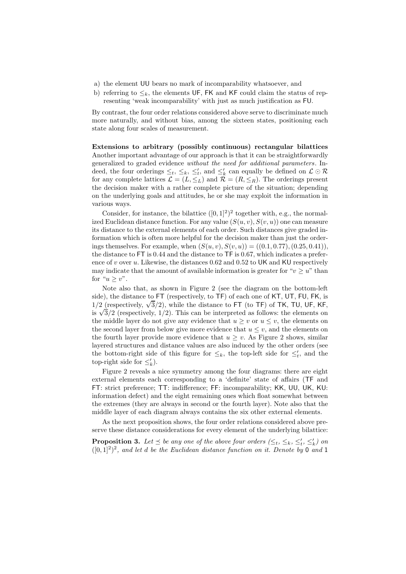- a) the element UU bears no mark of incomparability whatsoever, and
- b) referring to  $\leq_k$ , the elements UF, FK and KF could claim the status of representing 'weak incomparability' with just as much justification as FU.

By contrast, the four order relations considered above serve to discriminate much more naturally, and without bias, among the sixteen states, positioning each state along four scales of measurement.

Extensions to arbitrary (possibly continuous) rectangular bilattices Another important advantage of our approach is that it can be straightforwardly generalized to graded evidence without the need for additional parameters. Indeed, the four orderings  $\leq_t, \leq_k, \leq'_t,$  and  $\leq'_k$  can equally be defined on  $\mathcal{L} \odot \mathcal{R}$ for any complete lattices  $\mathcal{L} = (L, \leq_L)$  and  $\mathcal{R} = (R, \leq_R)$ . The orderings present the decision maker with a rather complete picture of the situation; depending on the underlying goals and attitudes, he or she may exploit the information in various ways.

Consider, for instance, the bilattice  $([0, 1]^2)^2$  together with, e.g., the normalized Euclidean distance function. For any value  $(S(u, v), S(v, u))$  one can measure its distance to the external elements of each order. Such distances give graded information which is often more helpful for the decision maker than just the orderings themselves. For example, when  $(S(u, v), S(v, u)) = ((0.1, 0.77), (0.25, 0.41)),$ the distance to FT is 0.44 and the distance to TF is 0.67, which indicates a preference of  $v$  over  $u$ . Likewise, the distances 0.62 and 0.52 to UK and KU respectively may indicate that the amount of available information is greater for " $v \geq u$ " than for " $u \ge v$ ".

Note also that, as shown in Figure 2 (see the diagram on the bottom-left side), the distance to FT (respectively, to TF) of each one of KT, UT, FU, FK, is 1/2 (respectively,  $\sqrt{3}/2$ ), while the distance to FT (to TF) of TK, TU, UF, KF, is  $\sqrt{3}/2$  (respectively, 1/2). This can be interpreted as follows: the elements on the middle layer do not give any evidence that  $u \geq v$  or  $u \leq v$ , the elements on the second layer from below give more evidence that  $u \leq v$ , and the elements on the fourth layer provide more evidence that  $u \geq v$ . As Figure 2 shows, similar layered structures and distance values are also induced by the other orders (see the bottom-right side of this figure for  $\leq_k$ , the top-left side for  $\leq'_t$ , and the top-right side for  $\leq'_{k}$ ).

Figure 2 reveals a nice symmetry among the four diagrams: there are eight external elements each corresponding to a 'definite' state of affairs (TF and FT: strict preference; TT: indifference; FF: incomparability; KK, UU, UK, KU: information defect) and the eight remaining ones which float somewhat between the extremes (they are always in second or the fourth layer). Note also that the middle layer of each diagram always contains the six other external elements.

As the next proposition shows, the four order relations considered above preserve these distance considerations for every element of the underlying bilattice:

**Proposition 3.** Let  $\leq$  be any one of the above four orders  $(\leq_t, \leq_k, \leq'_t, \leq'_k)$  on  $([0,1]^2)^2$ , and let d be the Euclidean distance function on it. Denote by 0 and 1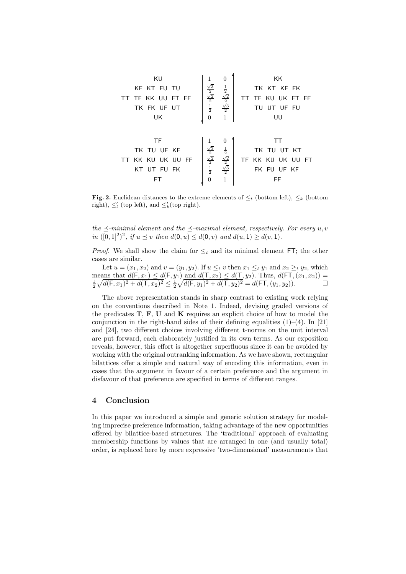

Fig. 2. Euclidean distances to the extreme elements of  $\leq_t$  (bottom left),  $\leq_k$  (bottom right),  $\leq'_t$  (top left), and  $\leq'_k$  (top right).

the  $\prec$ -minimal element and the  $\prec$ -maximal element, respectively. For every u, v in  $([0, 1]^2)^2$ , if  $u \le v$  then  $d(0, u) \le d(0, v)$  and  $d(u, 1) \ge d(v, 1)$ .

*Proof.* We shall show the claim for  $\leq_t$  and its minimal element FT; the other cases are similar.

Let  $u = (x_1, x_2)$  and  $v = (y_1, y_2)$ . If  $u \leq_t v$  then  $x_1 \leq_t y_1$  and  $x_2 \geq_t y_2$ , which means that  $d(\mathsf{F}, x_1) \leq d(\mathsf{F}, y_1)$  and  $d(\mathsf{T}, x_2) \leq d(\mathsf{T}, y_2)$ . Thus,  $d(\mathsf{FT}, (x_1, x_2)) = \frac{1}{2} \sqrt{d(\mathsf{F}, x_1)^2 + d(\mathsf{T}, x_2)^2} \leq \frac{1}{2} \sqrt{d(\mathsf{F}, y_1)^2 + d(\mathsf{T}, y_2)^2} = d(\mathsf{FT}, (y_1, y_2))$ .

The above representation stands in sharp contrast to existing work relying on the conventions described in Note 1. Indeed, devising graded versions of the predicates  $T, F, U$  and  $K$  requires an explicit choice of how to model the conjunction in the right-hand sides of their defining equalities  $(1)-(4)$ . In [21] and [24], two different choices involving different t-norms on the unit interval are put forward, each elaborately justified in its own terms. As our exposition reveals, however, this effort is altogether superfluous since it can be avoided by working with the original outranking information. As we have shown, rectangular bilattices offer a simple and natural way of encoding this information, even in cases that the argument in favour of a certain preference and the argument in disfavour of that preference are specified in terms of different ranges.

# 4 Conclusion

In this paper we introduced a simple and generic solution strategy for modeling imprecise preference information, taking advantage of the new opportunities offered by bilattice-based structures. The 'traditional' approach of evaluating membership functions by values that are arranged in one (and usually total) order, is replaced here by more expressive 'two-dimensional' measurements that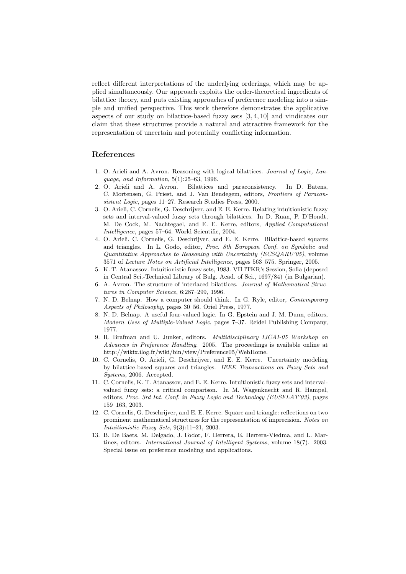reflect different interpretations of the underlying orderings, which may be applied simultaneously. Our approach exploits the order-theoretical ingredients of bilattice theory, and puts existing approaches of preference modeling into a simple and unified perspective. This work therefore demonstrates the applicative aspects of our study on bilattice-based fuzzy sets [3,4,10] and vindicates our claim that these structures provide a natural and attractive framework for the representation of uncertain and potentially conflicting information.

# References

- 1. O. Arieli and A. Avron. Reasoning with logical bilattices. Journal of Logic, Language, and Information, 5(1):25–63, 1996.
- 2. O. Arieli and A. Avron. Bilattices and paraconsistency. In D. Batens, C. Mortensen, G. Priest, and J. Van Bendegem, editors, Frontiers of Paraconsistent Logic, pages 11–27. Research Studies Press, 2000.
- 3. O. Arieli, C. Cornelis, G. Deschrijver, and E. E. Kerre. Relating intuitionistic fuzzy sets and interval-valued fuzzy sets through bilattices. In D. Ruan, P. D'Hondt, M. De Cock, M. Nachtegael, and E. E. Kerre, editors, Applied Computational Intelligence, pages 57–64. World Scientific, 2004.
- 4. O. Arieli, C. Cornelis, G. Deschrijver, and E. E. Kerre. Bilattice-based squares and triangles. In L. Godo, editor, Proc. 8th European Conf. on Symbolic and  $Quantitative\ Approaches\ to\ Reasoning\ with\ Uncertainty\ (ECSQARU'05),\ volume$ 3571 of Lecture Notes on Artificial Intelligence, pages 563–575. Springer, 2005.
- 5. K. T. Atanassov. Intuitionistic fuzzy sets, 1983. VII ITKR's Session, Sofia (deposed in Central Sci.-Technical Library of Bulg. Acad. of Sci., 1697/84) (in Bulgarian).
- 6. A. Avron. The structure of interlaced bilattices. Journal of Mathematical Structures in Computer Science, 6:287–299, 1996.
- 7. N. D. Belnap. How a computer should think. In G. Ryle, editor, Contemporary Aspects of Philosophy, pages 30–56. Oriel Press, 1977.
- 8. N. D. Belnap. A useful four-valued logic. In G. Epstein and J. M. Dunn, editors, Modern Uses of Multiple-Valued Logic, pages 7–37. Reidel Publishing Company, 1977.
- 9. R. Brafman and U. Junker, editors. Multidisciplinary IJCAI-05 Workshop on Advances in Preference Handling. 2005. The proceedings is available online at http://wikix.ilog.fr/wiki/bin/view/Preference05/WebHome.
- 10. C. Cornelis, O. Arieli, G. Deschrijver, and E. E. Kerre. Uncertainty modeling by bilattice-based squares and triangles. IEEE Transactions on Fuzzy Sets and Systems, 2006. Accepted.
- 11. C. Cornelis, K. T. Atanassov, and E. E. Kerre. Intuitionistic fuzzy sets and intervalvalued fuzzy sets: a critical comparison. In M. Wagenknecht and R. Hampel, editors, Proc. 3rd Int. Conf. in Fuzzy Logic and Technology (EUSFLAT'03), pages 159–163, 2003.
- 12. C. Cornelis, G. Deschrijver, and E. E. Kerre. Square and triangle: reflections on two prominent mathematical structures for the representation of imprecision. Notes on Intuitionistic Fuzzy Sets, 9(3):11–21, 2003.
- 13. B. De Baets, M. Delgado, J. Fodor, F. Herrera, E. Herrera-Viedma, and L. Martinez, editors. International Journal of Intelligent Systems, volume 18(7). 2003. Special issue on preference modeling and applications.